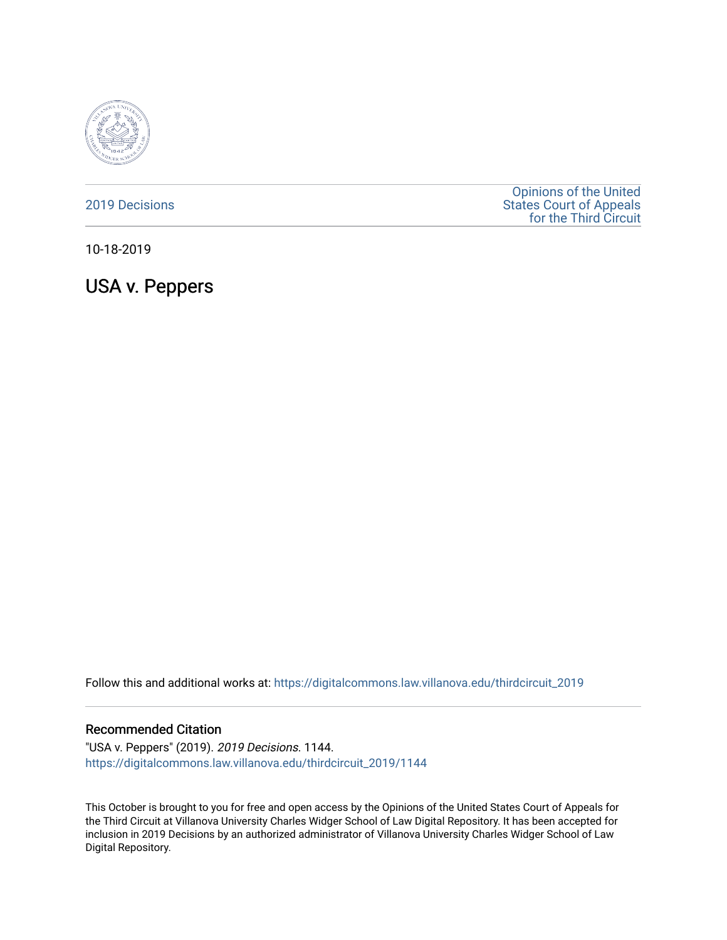

### [2019 Decisions](https://digitalcommons.law.villanova.edu/thirdcircuit_2019)

[Opinions of the United](https://digitalcommons.law.villanova.edu/thirdcircuit)  [States Court of Appeals](https://digitalcommons.law.villanova.edu/thirdcircuit)  [for the Third Circuit](https://digitalcommons.law.villanova.edu/thirdcircuit) 

10-18-2019

USA v. Peppers

Follow this and additional works at: [https://digitalcommons.law.villanova.edu/thirdcircuit\\_2019](https://digitalcommons.law.villanova.edu/thirdcircuit_2019?utm_source=digitalcommons.law.villanova.edu%2Fthirdcircuit_2019%2F1144&utm_medium=PDF&utm_campaign=PDFCoverPages) 

#### Recommended Citation

"USA v. Peppers" (2019). 2019 Decisions. 1144. [https://digitalcommons.law.villanova.edu/thirdcircuit\\_2019/1144](https://digitalcommons.law.villanova.edu/thirdcircuit_2019/1144?utm_source=digitalcommons.law.villanova.edu%2Fthirdcircuit_2019%2F1144&utm_medium=PDF&utm_campaign=PDFCoverPages) 

This October is brought to you for free and open access by the Opinions of the United States Court of Appeals for the Third Circuit at Villanova University Charles Widger School of Law Digital Repository. It has been accepted for inclusion in 2019 Decisions by an authorized administrator of Villanova University Charles Widger School of Law Digital Repository.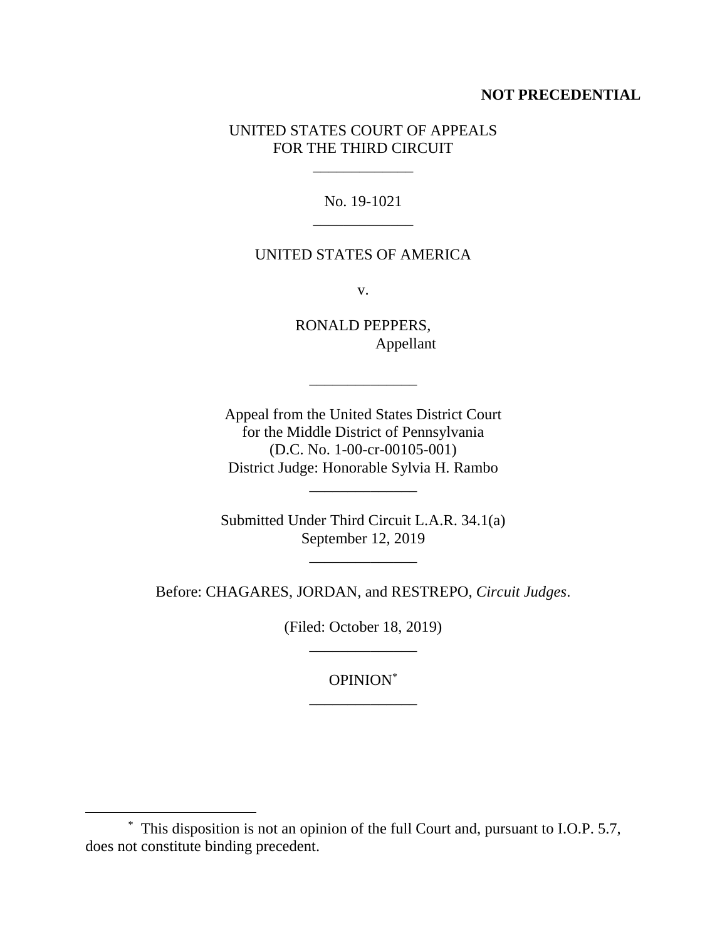# **NOT PRECEDENTIAL**

# UNITED STATES COURT OF APPEALS FOR THE THIRD CIRCUIT

 $\mathcal{L}=\mathcal{L}=\mathcal{L}$ 

No. 19-1021 \_\_\_\_\_\_\_\_\_\_\_\_\_

### UNITED STATES OF AMERICA

v.

RONALD PEPPERS, Appellant

\_\_\_\_\_\_\_\_\_\_\_\_\_\_

Appeal from the United States District Court for the Middle District of Pennsylvania (D.C. No. 1-00-cr-00105-001) District Judge: Honorable Sylvia H. Rambo

\_\_\_\_\_\_\_\_\_\_\_\_\_\_

Submitted Under Third Circuit L.A.R. 34.1(a) September 12, 2019

 $\frac{1}{2}$ 

Before: CHAGARES, JORDAN, and RESTREPO, *Circuit Judges*.

(Filed: October 18, 2019) \_\_\_\_\_\_\_\_\_\_\_\_\_\_

> OPINION\* \_\_\_\_\_\_\_\_\_\_\_\_\_\_

 $\overline{a}$ 

<sup>\*</sup> This disposition is not an opinion of the full Court and, pursuant to I.O.P. 5.7, does not constitute binding precedent.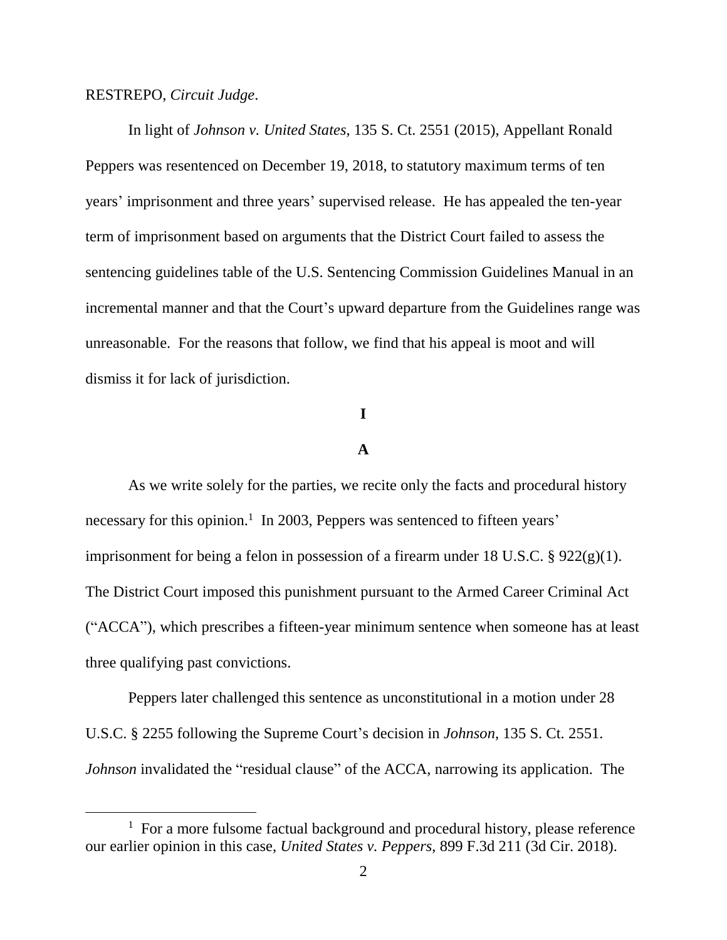#### RESTREPO, *Circuit Judge*.

 $\overline{a}$ 

In light of *Johnson v. United States*, 135 S. Ct. 2551 (2015), Appellant Ronald Peppers was resentenced on December 19, 2018, to statutory maximum terms of ten years' imprisonment and three years' supervised release. He has appealed the ten-year term of imprisonment based on arguments that the District Court failed to assess the sentencing guidelines table of the U.S. Sentencing Commission Guidelines Manual in an incremental manner and that the Court's upward departure from the Guidelines range was unreasonable. For the reasons that follow, we find that his appeal is moot and will dismiss it for lack of jurisdiction.

# **I**

### **A**

As we write solely for the parties, we recite only the facts and procedural history necessary for this opinion.<sup>1</sup> In 2003, Peppers was sentenced to fifteen years' imprisonment for being a felon in possession of a firearm under 18 U.S.C. § 922(g)(1). The District Court imposed this punishment pursuant to the Armed Career Criminal Act ("ACCA"), which prescribes a fifteen-year minimum sentence when someone has at least three qualifying past convictions.

Peppers later challenged this sentence as unconstitutional in a motion under 28 U.S.C. § 2255 following the Supreme Court's decision in *Johnson*, 135 S. Ct. 2551. *Johnson* invalidated the "residual clause" of the ACCA, narrowing its application. The

 $1$  For a more fulsome factual background and procedural history, please reference our earlier opinion in this case, *United States v. Peppers*, 899 F.3d 211 (3d Cir. 2018).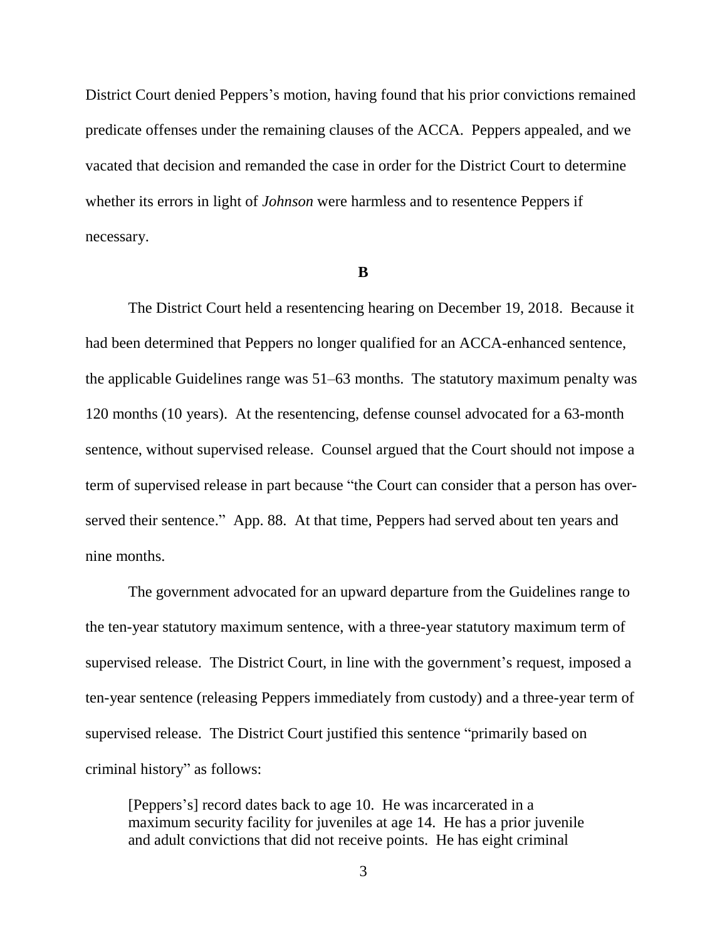District Court denied Peppers's motion, having found that his prior convictions remained predicate offenses under the remaining clauses of the ACCA. Peppers appealed, and we vacated that decision and remanded the case in order for the District Court to determine whether its errors in light of *Johnson* were harmless and to resentence Peppers if necessary.

#### **B**

The District Court held a resentencing hearing on December 19, 2018. Because it had been determined that Peppers no longer qualified for an ACCA-enhanced sentence, the applicable Guidelines range was 51–63 months. The statutory maximum penalty was 120 months (10 years). At the resentencing, defense counsel advocated for a 63-month sentence, without supervised release. Counsel argued that the Court should not impose a term of supervised release in part because "the Court can consider that a person has overserved their sentence." App. 88. At that time, Peppers had served about ten years and nine months.

The government advocated for an upward departure from the Guidelines range to the ten-year statutory maximum sentence, with a three-year statutory maximum term of supervised release. The District Court, in line with the government's request, imposed a ten-year sentence (releasing Peppers immediately from custody) and a three-year term of supervised release. The District Court justified this sentence "primarily based on criminal history" as follows:

[Peppers's] record dates back to age 10. He was incarcerated in a maximum security facility for juveniles at age 14. He has a prior juvenile and adult convictions that did not receive points. He has eight criminal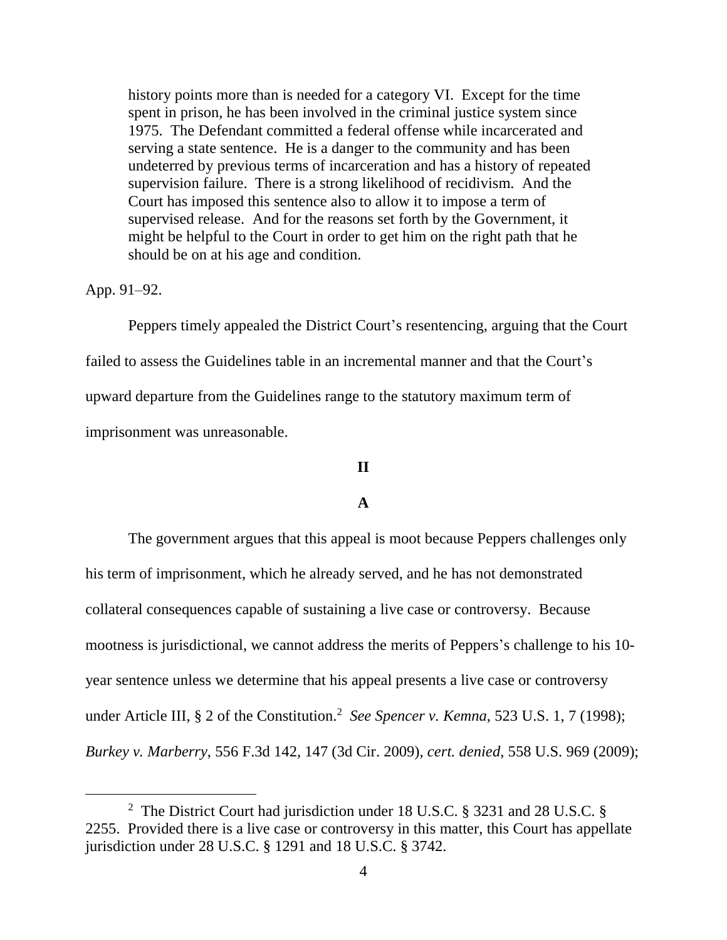history points more than is needed for a category VI. Except for the time spent in prison, he has been involved in the criminal justice system since 1975. The Defendant committed a federal offense while incarcerated and serving a state sentence. He is a danger to the community and has been undeterred by previous terms of incarceration and has a history of repeated supervision failure. There is a strong likelihood of recidivism. And the Court has imposed this sentence also to allow it to impose a term of supervised release. And for the reasons set forth by the Government, it might be helpful to the Court in order to get him on the right path that he should be on at his age and condition.

App. 91–92.

 $\overline{a}$ 

Peppers timely appealed the District Court's resentencing, arguing that the Court failed to assess the Guidelines table in an incremental manner and that the Court's upward departure from the Guidelines range to the statutory maximum term of imprisonment was unreasonable.

#### **II**

### **A**

The government argues that this appeal is moot because Peppers challenges only his term of imprisonment, which he already served, and he has not demonstrated collateral consequences capable of sustaining a live case or controversy. Because mootness is jurisdictional, we cannot address the merits of Peppers's challenge to his 10 year sentence unless we determine that his appeal presents a live case or controversy under Article III, § 2 of the Constitution. <sup>2</sup> *See Spencer v. Kemna*, 523 U.S. 1, 7 (1998); *Burkey v. Marberry*, 556 F.3d 142, 147 (3d Cir. 2009), *cert. denied*, 558 U.S. 969 (2009);

<sup>2</sup> The District Court had jurisdiction under 18 U.S.C. § 3231 and 28 U.S.C. § 2255. Provided there is a live case or controversy in this matter, this Court has appellate jurisdiction under 28 U.S.C. § 1291 and 18 U.S.C. § 3742.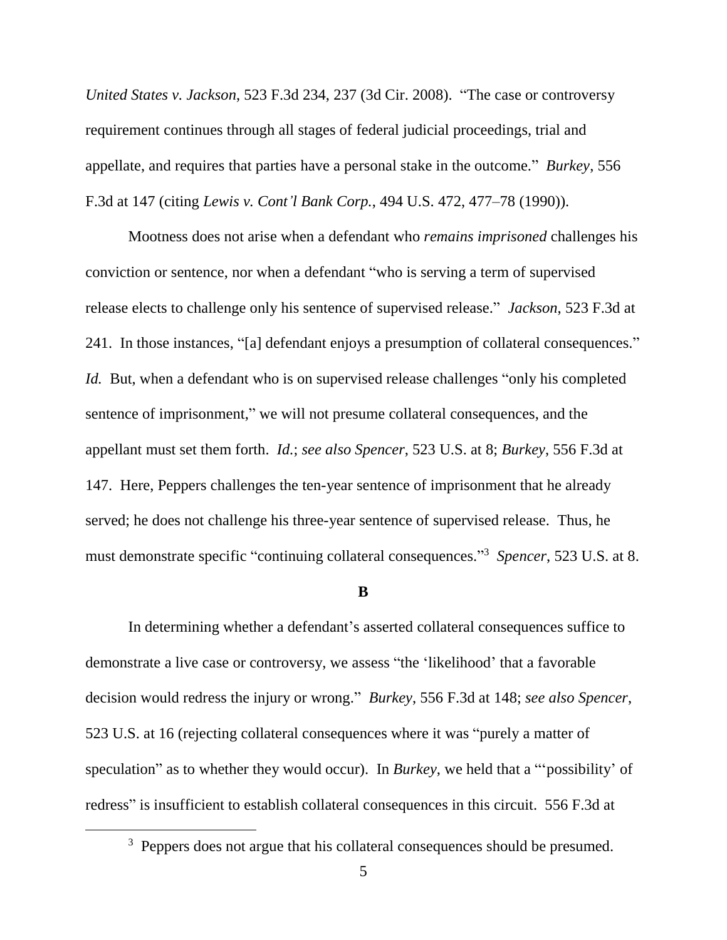*United States v. Jackson*, 523 F.3d 234, 237 (3d Cir. 2008). "The case or controversy requirement continues through all stages of federal judicial proceedings, trial and appellate, and requires that parties have a personal stake in the outcome." *Burkey*, 556 F.3d at 147 (citing *Lewis v. Cont'l Bank Corp.*, 494 U.S. 472, 477–78 (1990)).

Mootness does not arise when a defendant who *remains imprisoned* challenges his conviction or sentence, nor when a defendant "who is serving a term of supervised release elects to challenge only his sentence of supervised release." *Jackson*, 523 F.3d at 241. In those instances, "[a] defendant enjoys a presumption of collateral consequences." *Id.* But, when a defendant who is on supervised release challenges "only his completed sentence of imprisonment," we will not presume collateral consequences, and the appellant must set them forth. *Id.*; *see also Spencer*, 523 U.S. at 8; *Burkey*, 556 F.3d at 147. Here, Peppers challenges the ten-year sentence of imprisonment that he already served; he does not challenge his three-year sentence of supervised release. Thus, he must demonstrate specific "continuing collateral consequences." <sup>3</sup> *Spencer*, 523 U.S. at 8.

#### **B**

In determining whether a defendant's asserted collateral consequences suffice to demonstrate a live case or controversy, we assess "the 'likelihood' that a favorable decision would redress the injury or wrong." *Burkey*, 556 F.3d at 148; *see also Spencer*, 523 U.S. at 16 (rejecting collateral consequences where it was "purely a matter of speculation" as to whether they would occur). In *Burkey*, we held that a "'possibility' of redress" is insufficient to establish collateral consequences in this circuit. 556 F.3d at

 $\overline{a}$ 

<sup>&</sup>lt;sup>3</sup> Peppers does not argue that his collateral consequences should be presumed.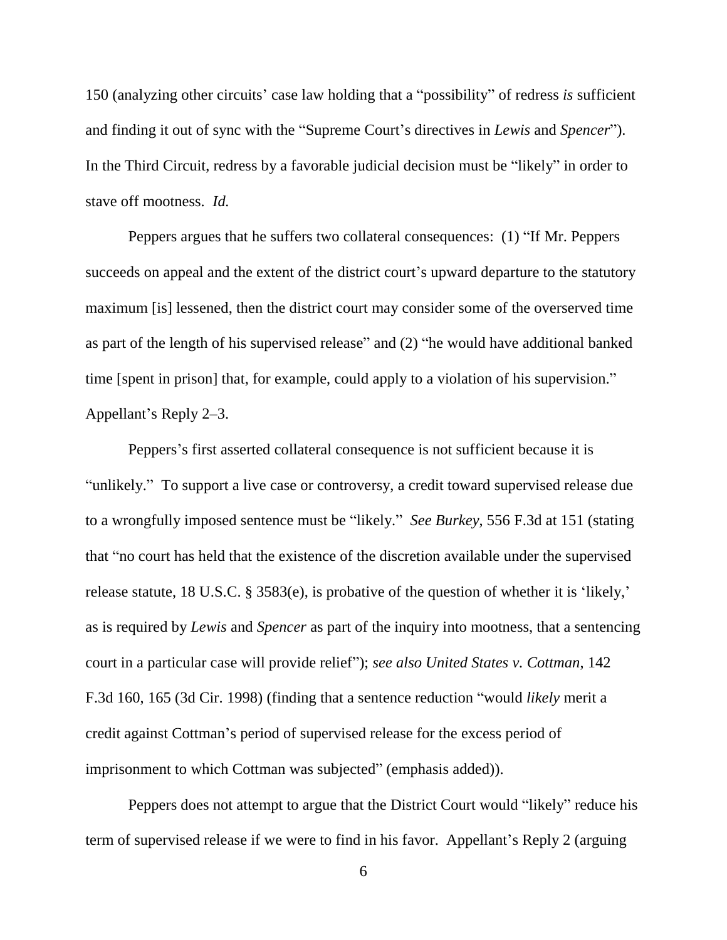150 (analyzing other circuits' case law holding that a "possibility" of redress *is* sufficient and finding it out of sync with the "Supreme Court's directives in *Lewis* and *Spencer*"). In the Third Circuit, redress by a favorable judicial decision must be "likely" in order to stave off mootness. *Id.*

Peppers argues that he suffers two collateral consequences: (1) "If Mr. Peppers succeeds on appeal and the extent of the district court's upward departure to the statutory maximum [is] lessened, then the district court may consider some of the overserved time as part of the length of his supervised release" and (2) "he would have additional banked time [spent in prison] that, for example, could apply to a violation of his supervision." Appellant's Reply 2–3.

Peppers's first asserted collateral consequence is not sufficient because it is "unlikely." To support a live case or controversy, a credit toward supervised release due to a wrongfully imposed sentence must be "likely." *See Burkey*, 556 F.3d at 151 (stating that "no court has held that the existence of the discretion available under the supervised release statute, 18 U.S.C. § 3583(e), is probative of the question of whether it is 'likely,' as is required by *Lewis* and *Spencer* as part of the inquiry into mootness, that a sentencing court in a particular case will provide relief"); *see also United States v. Cottman*, 142 F.3d 160, 165 (3d Cir. 1998) (finding that a sentence reduction "would *likely* merit a credit against Cottman's period of supervised release for the excess period of imprisonment to which Cottman was subjected" (emphasis added)).

Peppers does not attempt to argue that the District Court would "likely" reduce his term of supervised release if we were to find in his favor. Appellant's Reply 2 (arguing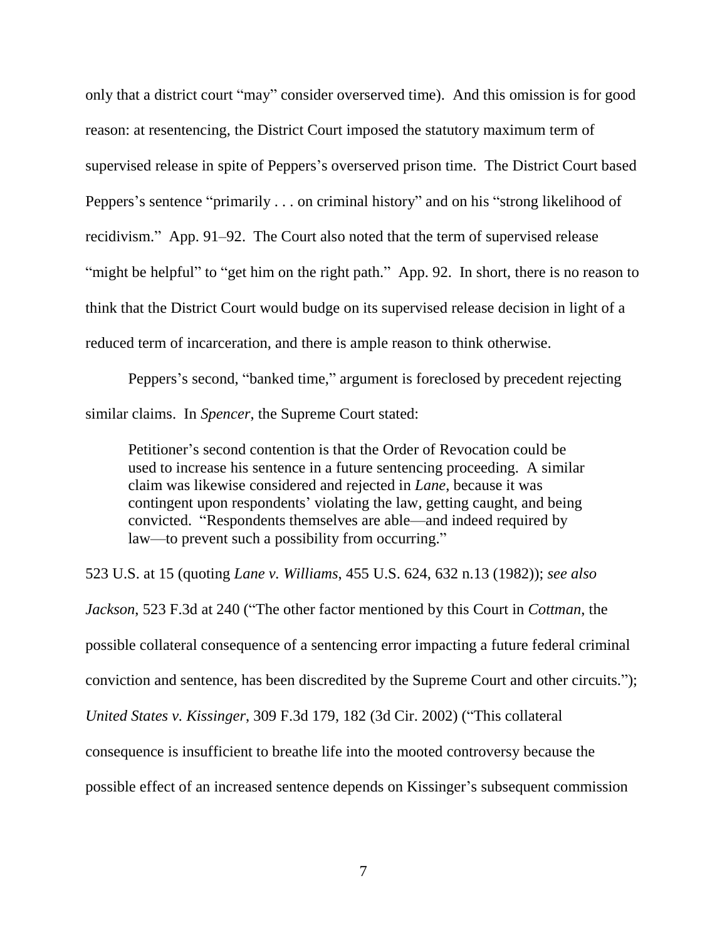only that a district court "may" consider overserved time). And this omission is for good reason: at resentencing, the District Court imposed the statutory maximum term of supervised release in spite of Peppers's overserved prison time. The District Court based Peppers's sentence "primarily . . . on criminal history" and on his "strong likelihood of recidivism." App. 91–92. The Court also noted that the term of supervised release "might be helpful" to "get him on the right path." App. 92. In short, there is no reason to think that the District Court would budge on its supervised release decision in light of a reduced term of incarceration, and there is ample reason to think otherwise.

Peppers's second, "banked time," argument is foreclosed by precedent rejecting similar claims. In *Spencer*, the Supreme Court stated:

Petitioner's second contention is that the Order of Revocation could be used to increase his sentence in a future sentencing proceeding. A similar claim was likewise considered and rejected in *Lane*, because it was contingent upon respondents' violating the law, getting caught, and being convicted. "Respondents themselves are able—and indeed required by law—to prevent such a possibility from occurring."

523 U.S. at 15 (quoting *Lane v. Williams*, 455 U.S. 624, 632 n.13 (1982)); *see also*

*Jackson*, 523 F.3d at 240 ("The other factor mentioned by this Court in *Cottman*, the possible collateral consequence of a sentencing error impacting a future federal criminal conviction and sentence, has been discredited by the Supreme Court and other circuits."); *United States v. Kissinger*, 309 F.3d 179, 182 (3d Cir. 2002) ("This collateral consequence is insufficient to breathe life into the mooted controversy because the possible effect of an increased sentence depends on Kissinger's subsequent commission